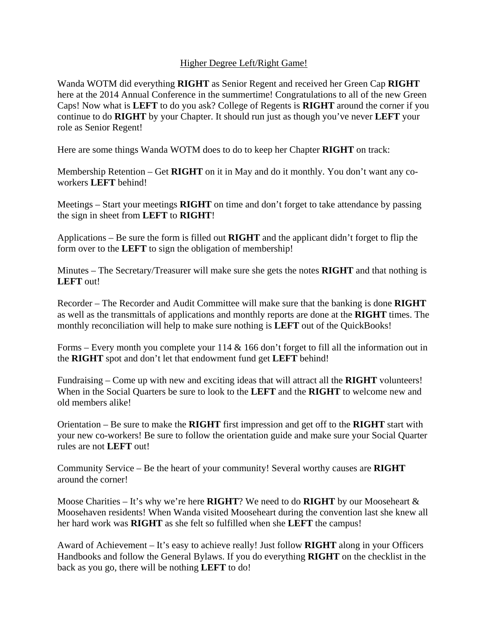## Higher Degree Left/Right Game!

Wanda WOTM did everything **RIGHT** as Senior Regent and received her Green Cap **RIGHT** here at the 2014 Annual Conference in the summertime! Congratulations to all of the new Green Caps! Now what is **LEFT** to do you ask? College of Regents is **RIGHT** around the corner if you continue to do **RIGHT** by your Chapter. It should run just as though you've never **LEFT** your role as Senior Regent!

Here are some things Wanda WOTM does to do to keep her Chapter **RIGHT** on track:

Membership Retention – Get **RIGHT** on it in May and do it monthly. You don't want any coworkers **LEFT** behind!

Meetings – Start your meetings **RIGHT** on time and don't forget to take attendance by passing the sign in sheet from **LEFT** to **RIGHT**!

Applications – Be sure the form is filled out **RIGHT** and the applicant didn't forget to flip the form over to the **LEFT** to sign the obligation of membership!

Minutes – The Secretary/Treasurer will make sure she gets the notes **RIGHT** and that nothing is **LEFT** out!

Recorder – The Recorder and Audit Committee will make sure that the banking is done **RIGHT** as well as the transmittals of applications and monthly reports are done at the **RIGHT** times. The monthly reconciliation will help to make sure nothing is **LEFT** out of the QuickBooks!

Forms – Every month you complete your 114 & 166 don't forget to fill all the information out in the **RIGHT** spot and don't let that endowment fund get **LEFT** behind!

Fundraising – Come up with new and exciting ideas that will attract all the **RIGHT** volunteers! When in the Social Quarters be sure to look to the **LEFT** and the **RIGHT** to welcome new and old members alike!

Orientation – Be sure to make the **RIGHT** first impression and get off to the **RIGHT** start with your new co-workers! Be sure to follow the orientation guide and make sure your Social Quarter rules are not **LEFT** out!

Community Service – Be the heart of your community! Several worthy causes are **RIGHT** around the corner!

Moose Charities – It's why we're here **RIGHT**? We need to do **RIGHT** by our Mooseheart & Moosehaven residents! When Wanda visited Mooseheart during the convention last she knew all her hard work was **RIGHT** as she felt so fulfilled when she **LEFT** the campus!

Award of Achievement – It's easy to achieve really! Just follow **RIGHT** along in your Officers Handbooks and follow the General Bylaws. If you do everything **RIGHT** on the checklist in the back as you go, there will be nothing **LEFT** to do!